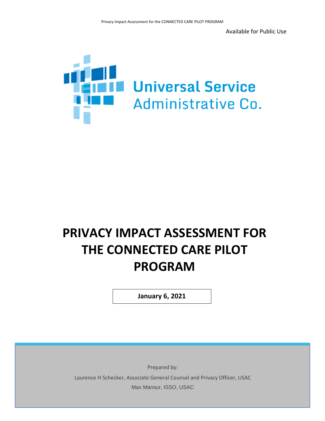Available for Public Use



# **PRIVACY IMPACT ASSESSMENT FOR THE CONNECTED CARE PILOT PROGRAM**

**January 6, 2021**

Prepared by: Laurence H Schecker, Associate General Counsel and Privacy Officer, USAC Max Mansur, ISSO, USAC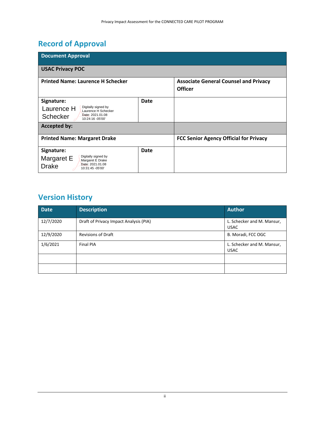# **Record of Approval**

| <b>Document Approval</b>                                 |      |                                                                |  |  |  |  |  |
|----------------------------------------------------------|------|----------------------------------------------------------------|--|--|--|--|--|
| <b>USAC Privacy POC</b>                                  |      |                                                                |  |  |  |  |  |
| <b>Printed Name: Laurence H Schecker</b>                 |      | <b>Associate General Counsel and Privacy</b><br><b>Officer</b> |  |  |  |  |  |
| Signature:                                               | Date |                                                                |  |  |  |  |  |
| Digitally signed by<br>Laurence H<br>Laurence H Schecker |      |                                                                |  |  |  |  |  |
| Date: 2021.01.08<br>Schecker<br>10:24:16 -05'00'         |      |                                                                |  |  |  |  |  |
| <b>Accepted by:</b>                                      |      |                                                                |  |  |  |  |  |
| <b>Printed Name: Margaret Drake</b>                      |      | <b>FCC Senior Agency Official for Privacy</b>                  |  |  |  |  |  |
| Signature:                                               | Date |                                                                |  |  |  |  |  |
| Digitally signed by<br>Margaret E<br>Margaret E Drake    |      |                                                                |  |  |  |  |  |
| Date: 2021.01.08<br><b>Drake</b><br>10:31:45 - 05'00'    |      |                                                                |  |  |  |  |  |

# **Version History**

| <b>Date</b> | <b>Description</b>                     | <b>Author</b>                             |
|-------------|----------------------------------------|-------------------------------------------|
| 12/7/2020   | Draft of Privacy Impact Analysis (PIA) | L. Schecker and M. Mansur,<br><b>USAC</b> |
| 12/9/2020   | <b>Revisions of Draft</b>              | B. Moradi, FCC OGC                        |
| 1/6/2021    | Final PIA                              | L. Schecker and M. Mansur,<br><b>USAC</b> |
|             |                                        |                                           |
|             |                                        |                                           |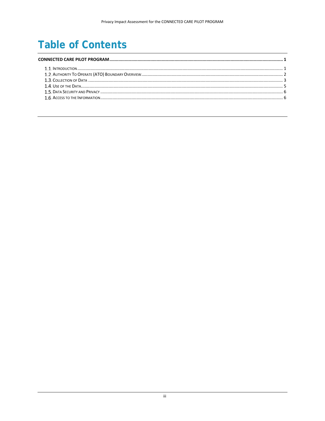# **Table of Contents**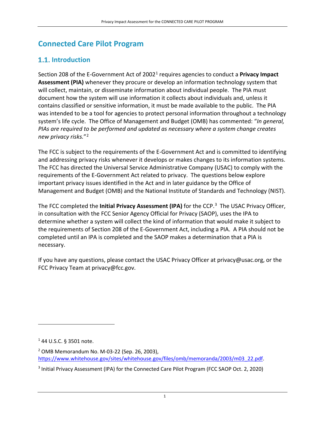# <span id="page-3-0"></span>**Connected Care Pilot Program**

# <span id="page-3-1"></span>**1.1.** Introduction

Section 208 of the E-Government Act of 2002[1](#page-3-2) requires agencies to conduct a **Privacy Impact Assessment (PIA)** whenever they procure or develop an information technology system that will collect, maintain, or disseminate information about individual people. The PIA must document how the system will use information it collects about individuals and, unless it contains classified or sensitive information, it must be made available to the public. The PIA was intended to be a tool for agencies to protect personal information throughout a technology system's life cycle. The Office of Management and Budget (OMB) has commented: "*In general, PIAs are required to be performed and updated as necessary where a system change creates new privacy risks.*"[2](#page-3-3)

The FCC is subject to the requirements of the E-Government Act and is committed to identifying and addressing privacy risks whenever it develops or makes changes to its information systems. The FCC has directed the Universal Service Administrative Company (USAC) to comply with the requirements of the E-Government Act related to privacy. The questions below explore important privacy issues identified in the Act and in later guidance by the Office of Management and Budget (OMB) and the National Institute of Standards and Technology (NIST).

The FCC completed the **Initial Privacy Assessment (IPA)** for the CCP. [3](#page-3-4) The USAC Privacy Officer, in consultation with the FCC Senior Agency Official for Privacy (SAOP), uses the IPA to determine whether a system will collect the kind of information that would make it subject to the requirements of Section 208 of the E-Government Act, including a PIA. A PIA should not be completed until an IPA is completed and the SAOP makes a determination that a PIA is necessary.

If you have any questions, please contact the USAC Privacy Officer at privacy@usac.org, or the FCC Privacy Team at privacy@fcc.gov.

l

<span id="page-3-2"></span><sup>1</sup> 44 U.S.C. § 3501 note.

<span id="page-3-3"></span><sup>2</sup> OMB Memorandum No. M-03-22 (Sep. 26, 2003), [https://www.whitehouse.gov/sites/whitehouse.gov/files/omb/memoranda/2003/m03\\_22.pdf.](https://www.whitehouse.gov/sites/whitehouse.gov/files/omb/memoranda/2003/m03_22.pdf)

<span id="page-3-4"></span><sup>3</sup> Initial Privacy Assessment (IPA) for the Connected Care Pilot Program (FCC SAOP Oct. 2, 2020)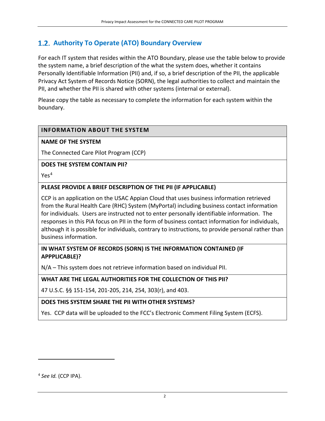# <span id="page-4-0"></span> **Authority To Operate (ATO) Boundary Overview**

For each IT system that resides within the ATO Boundary, please use the table below to provide the system name, a brief description of the what the system does, whether it contains Personally Identifiable Information (PII) and, if so, a brief description of the PII, the applicable Privacy Act System of Records Notice (SORN), the legal authorities to collect and maintain the PII, and whether the PII is shared with other systems (internal or external).

Please copy the table as necessary to complete the information for each system within the boundary.

#### **INFORMATION ABOUT THE SYSTEM**

#### **NAME OF THE SYSTEM**

The Connected Care Pilot Program (CCP)

#### **DOES THE SYSTEM CONTAIN PII?**

Yes<sup>[4](#page-4-1)</sup>

#### **PLEASE PROVIDE A BRIEF DESCRIPTION OF THE PII (IF APPLICABLE)**

CCP is an application on the USAC Appian Cloud that uses business information retrieved from the Rural Health Care (RHC) System (MyPortal) including business contact information for individuals. Users are instructed not to enter personally identifiable information. The responses in this PIA focus on PII in the form of business contact information for individuals, although it is possible for individuals, contrary to instructions, to provide personal rather than business information.

#### **IN WHAT SYSTEM OF RECORDS (SORN) IS THE INFORMATION CONTAINED (IF APPPLICABLE)?**

N/A – This system does not retrieve information based on individual PII.

#### **WHAT ARE THE LEGAL AUTHORITIES FOR THE COLLECTION OF THIS PII?**

47 U.S.C. §§ 151-154, 201-205, 214, 254, 303(r), and 403.

#### **DOES THIS SYSTEM SHARE THE PII WITH OTHER SYSTEMS?**

Yes. CCP data will be uploaded to the FCC's Electronic Comment Filing System (ECFS).

 $\overline{\phantom{a}}$ 

<span id="page-4-1"></span><sup>4</sup> *See Id.* (CCP IPA).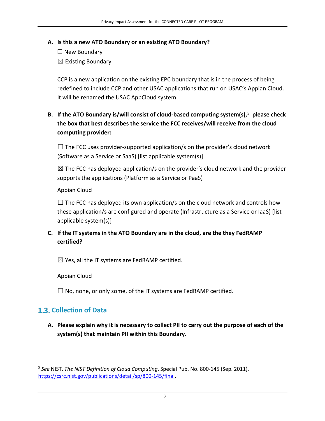#### **A. Is this a new ATO Boundary or an existing ATO Boundary?**

☐ New Boundary  $\boxtimes$  Existing Boundary

CCP is a new application on the existing EPC boundary that is in the process of being redefined to include CCP and other USAC applications that run on USAC's Appian Cloud. It will be renamed the USAC AppCloud system.

**B. If the ATO Boundary is/will consist of cloud-based computing system(s), [5](#page-5-1) please check the box that best describes the service the FCC receives/will receive from the cloud computing provider:** 

 $\Box$  The FCC uses provider-supported application/s on the provider's cloud network (Software as a Service or SaaS) [list applicable system(s)]

 $\boxtimes$  The FCC has deployed application/s on the provider's cloud network and the provider supports the applications (Platform as a Service or PaaS)

Appian Cloud

 $\Box$  The FCC has deployed its own application/s on the cloud network and controls how these application/s are configured and operate (Infrastructure as a Service or IaaS) [list applicable system(s)]

## **C. If the IT systems in the ATO Boundary are in the cloud, are the they FedRAMP certified?**

 $\boxtimes$  Yes, all the IT systems are FedRAMP certified.

Appian Cloud

 $\Box$  No, none, or only some, of the IT systems are FedRAMP certified.

# <span id="page-5-0"></span>**Collection of Data**

 $\overline{\phantom{a}}$ 

**A. Please explain why it is necessary to collect PII to carry out the purpose of each of the system(s) that maintain PII within this Boundary.** 

<span id="page-5-1"></span><sup>5</sup> *See* NIST, *The NIST Definition of Cloud Computing*, Special Pub. No. 800-145 (Sep. 2011), [https://csrc.nist.gov/publications/detail/sp/800-145/final.](https://csrc.nist.gov/publications/detail/sp/800-145/final)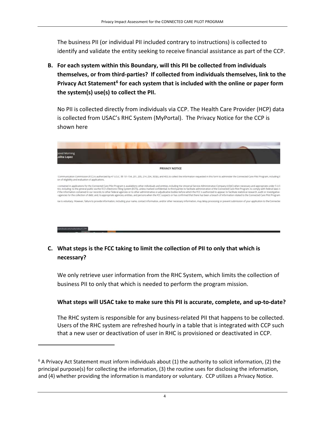The business PII (or individual PII included contrary to instructions) is collected to identify and validate the entity seeking to receive financial assistance as part of the CCP.

**B. For each system within this Boundary, will this PII be collected from individuals themselves, or from third-parties? If collected from individuals themselves, link to the Privacy Act Statement[6](#page-6-0) for each system that is included with the online or paper form the system(s) use(s) to collect the PII.** 

No PII is collected directly from individuals via CCP. The Health Care Provider (HCP) data is collected from USAC's RHC System (MyPortal). The Privacy Notice for the CCP is shown here



## **C. What steps is the FCC taking to limit the collection of PII to only that which is necessary?**

We only retrieve user information from the RHC System, which limits the collection of business PII to only that which is needed to perform the program mission.

**What steps will USAC take to make sure this PII is accurate, complete, and up-to-date?** 

The RHC system is responsible for any business-related PII that happens to be collected. Users of the RHC system are refreshed hourly in a table that is integrated with CCP such that a new user or deactivation of user in RHC is provisioned or deactivated in CCP.

 $\overline{a}$ 

<span id="page-6-0"></span> $6$  A Privacy Act Statement must inform individuals about (1) the authority to solicit information, (2) the principal purpose(s) for collecting the information, (3) the routine uses for disclosing the information, and (4) whether providing the information is mandatory or voluntary. CCP utilizes a Privacy Notice.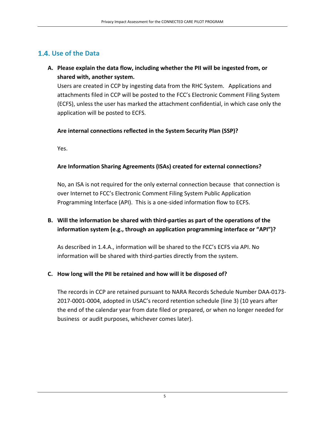## <span id="page-7-0"></span>**Use of the Data**

#### **A. Please explain the data flow, including whether the PII will be ingested from, or shared with, another system.**

Users are created in CCP by ingesting data from the RHC System. Applications and attachments filed in CCP will be posted to the FCC's Electronic Comment Filing System (ECFS), unless the user has marked the attachment confidential, in which case only the application will be posted to ECFS.

#### **Are internal connections reflected in the System Security Plan (SSP)?**

Yes.

#### **Are Information Sharing Agreements (ISAs) created for external connections?**

No, an ISA is not required for the only external connection because that connection is over Internet to FCC's Electronic Comment Filing System Public Application Programming Interface (API). This is a one-sided information flow to ECFS.

#### **B. Will the information be shared with third-parties as part of the operations of the information system (e.g., through an application programming interface or "API")?**

As described in 1.4.A., information will be shared to the FCC's ECFS via API. No information will be shared with third-parties directly from the system.

#### **C. How long will the PII be retained and how will it be disposed of?**

The records in CCP are retained pursuant to NARA Records Schedule Number DAA-0173- 2017-0001-0004, adopted in USAC's record retention schedule (line 3) (10 years after the end of the calendar year from date filed or prepared, or when no longer needed for business or audit purposes, whichever comes later).